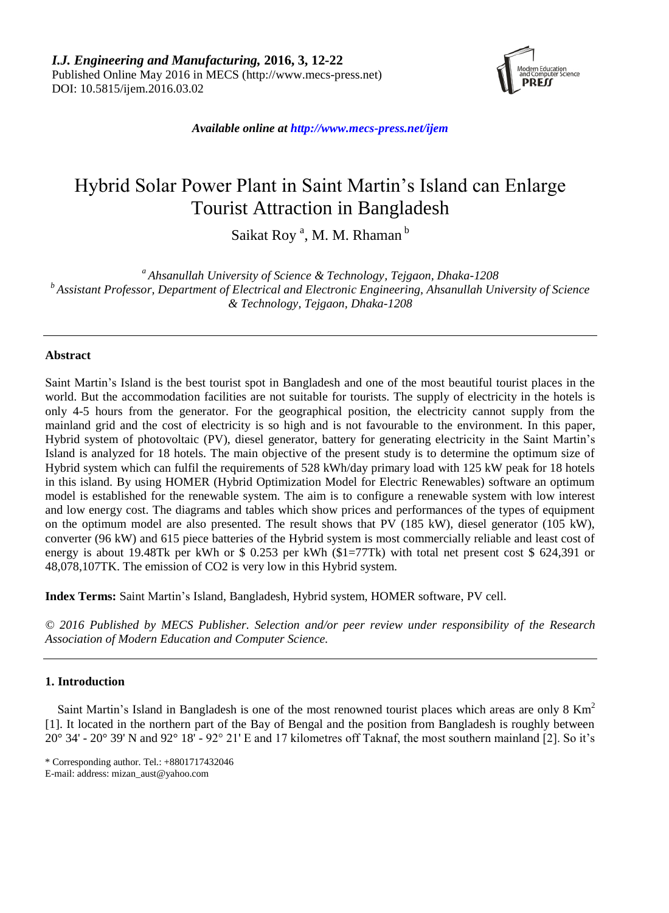

*Available online at http://www.mecs-press.net/ijem*

# Hybrid Solar Power Plant in Saint Martin's Island can Enlarge Tourist Attraction in Bangladesh

Saikat Roy<sup>a</sup>, M. M. Rhaman<sup>b</sup>

*<sup>a</sup> Ahsanullah University of Science & Technology, Tejgaon, Dhaka-1208 <sup>b</sup> Assistant Professor, Department of Electrical and Electronic Engineering, Ahsanullah University of Science & Technology, Tejgaon, Dhaka-1208*

## **Abstract**

Saint Martin's Island is the best tourist spot in Bangladesh and one of the most beautiful tourist places in the world. But the accommodation facilities are not suitable for tourists. The supply of electricity in the hotels is only 4-5 hours from the generator. For the geographical position, the electricity cannot supply from the mainland grid and the cost of electricity is so high and is not favourable to the environment. In this paper, Hybrid system of photovoltaic (PV), diesel generator, battery for generating electricity in the Saint Martin's Island is analyzed for 18 hotels. The main objective of the present study is to determine the optimum size of Hybrid system which can fulfil the requirements of 528 kWh/day primary load with 125 kW peak for 18 hotels in this island. By using HOMER (Hybrid Optimization Model for Electric Renewables) software an optimum model is established for the renewable system. The aim is to configure a renewable system with low interest and low energy cost. The diagrams and tables which show prices and performances of the types of equipment on the optimum model are also presented. The result shows that PV (185 kW), diesel generator (105 kW), converter (96 kW) and 615 piece batteries of the Hybrid system is most commercially reliable and least cost of energy is about 19.48Tk per kWh or \$ 0.253 per kWh (\$1=77Tk) with total net present cost \$ 624,391 or 48,078,107TK. The emission of CO2 is very low in this Hybrid system.

**Index Terms:** Saint Martin's Island, Bangladesh, Hybrid system, HOMER software, PV cell.

*© 2016 Published by MECS Publisher. Selection and/or peer review under responsibility of the Research Association of Modern Education and Computer Science.*

## **1. Introduction**

Saint Martin's Island in Bangladesh is one of the most renowned tourist places which areas are only 8 Km<sup>2</sup> [1]. It located in the northern part of the Bay of Bengal and the position from Bangladesh is roughly between 20°34' - 20°39' N and 92°18' - 92° 21' E and 17 kilometres off Taknaf, the most southern mainland [2]. So it's

<sup>\*</sup> Corresponding author. Tel.: +8801717432046

E-mail: address: mizan\_aust@yahoo.com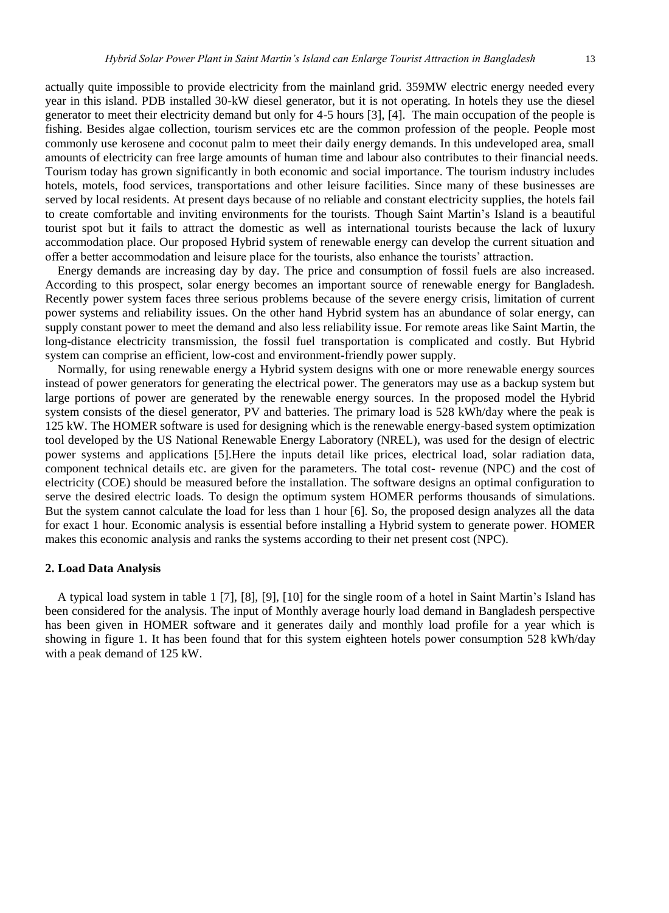actually quite impossible to provide electricity from the mainland grid. 359MW electric energy needed every year in this island. PDB installed 30-kW diesel generator, but it is not operating. In hotels they use the diesel generator to meet their electricity demand but only for 4-5 hours [3], [4]. The main occupation of the people is fishing. Besides algae collection, tourism services etc are the common profession of the people. People most commonly use kerosene and coconut palm to meet their daily energy demands. In this undeveloped area, small amounts of electricity can free large amounts of human time and labour also contributes to their financial needs. Tourism today has grown significantly in both economic and social importance. The tourism industry includes hotels, motels, food services, transportations and other leisure facilities. Since many of these businesses are served by local residents. At present days because of no reliable and constant electricity supplies, the hotels fail to create comfortable and inviting environments for the tourists. Though Saint Martin's Island is a beautiful tourist spot but it fails to attract the domestic as well as international tourists because the lack of luxury accommodation place. Our proposed Hybrid system of renewable energy can develop the current situation and offer a better accommodation and leisure place for the tourists, also enhance the tourists' attraction.

Energy demands are increasing day by day. The price and consumption of fossil fuels are also increased. According to this prospect, solar energy becomes an important source of renewable energy for Bangladesh. Recently power system faces three serious problems because of the severe energy crisis, limitation of current power systems and reliability issues. On the other hand Hybrid system has an abundance of solar energy, can supply constant power to meet the demand and also less reliability issue. For remote areas like Saint Martin, the long-distance electricity transmission, the fossil fuel transportation is complicated and costly. But Hybrid system can comprise an efficient, low-cost and environment-friendly power supply.

Normally, for using renewable energy a Hybrid system designs with one or more renewable energy sources instead of power generators for generating the electrical power. The generators may use as a backup system but large portions of power are generated by the renewable energy sources. In the proposed model the Hybrid system consists of the diesel generator, PV and batteries. The primary load is 528 kWh/day where the peak is 125 kW. The HOMER software is used for designing which is the renewable energy-based system optimization tool developed by the US National Renewable Energy Laboratory (NREL), was used for the design of electric power systems and applications [5].Here the inputs detail like prices, electrical load, solar radiation data, component technical details etc. are given for the parameters. The total cost- revenue (NPC) and the cost of electricity (COE) should be measured before the installation. The software designs an optimal configuration to serve the desired electric loads. To design the optimum system HOMER performs thousands of simulations. But the system cannot calculate the load for less than 1 hour [6]. So, the proposed design analyzes all the data for exact 1 hour. Economic analysis is essential before installing a Hybrid system to generate power. HOMER makes this economic analysis and ranks the systems according to their net present cost (NPC).

#### **2. Load Data Analysis**

A typical load system in table 1 [7], [8], [9], [10] for the single room of a hotel in Saint Martin's Island has been considered for the analysis. The input of Monthly average hourly load demand in Bangladesh perspective has been given in HOMER software and it generates daily and monthly load profile for a year which is showing in figure 1. It has been found that for this system eighteen hotels power consumption 528 kWh/day with a peak demand of 125 kW.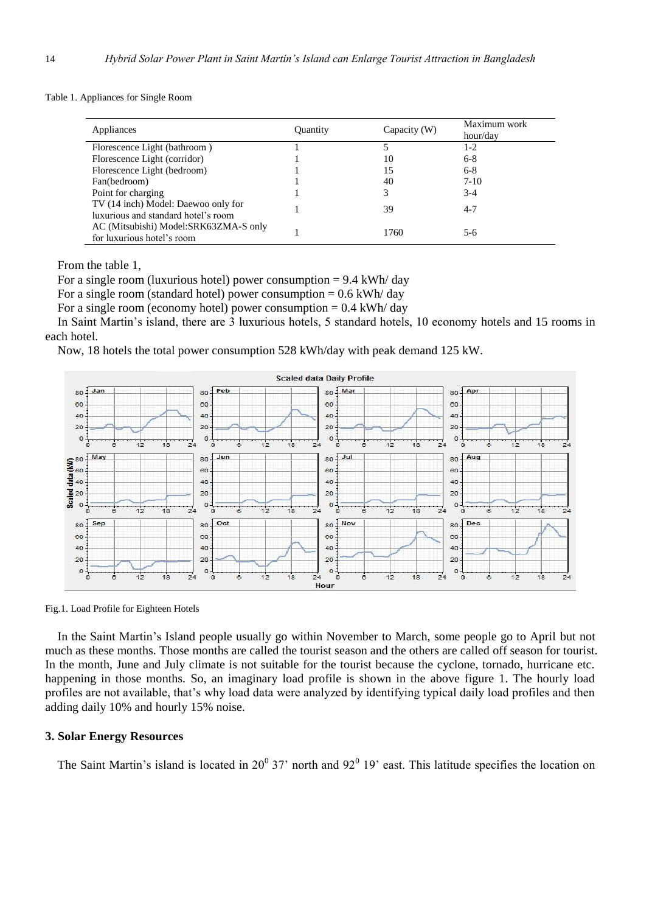Table 1. Appliances for Single Room

| Appliances                                                                 | Quantity | Capacity (W) | Maximum work<br>hour/day |
|----------------------------------------------------------------------------|----------|--------------|--------------------------|
| Florescence Light (bathroom)                                               |          |              | 1-2                      |
| Florescence Light (corridor)                                               |          | 10           | $6 - 8$                  |
| Florescence Light (bedroom)                                                |          | 15           | $6 - 8$                  |
| Fan(bedroom)                                                               |          | 40           | $7-10$                   |
| Point for charging                                                         |          | 3            | $3-4$                    |
| TV (14 inch) Model: Daewoo only for<br>luxurious and standard hotel's room |          | 39           | $4 - 7$                  |
| AC (Mitsubishi) Model:SRK63ZMA-S only<br>for luxurious hotel's room        |          | 1760         | $5-6$                    |

From the table 1,

For a single room (luxurious hotel) power consumption  $= 9.4$  kWh/day

For a single room (standard hotel) power consumption =  $0.6$  kWh/day

For a single room (economy hotel) power consumption  $= 0.4$  kWh/ day

In Saint Martin's island, there are 3 luxurious hotels, 5 standard hotels, 10 economy hotels and 15 rooms in each hotel.

Now, 18 hotels the total power consumption 528 kWh/day with peak demand 125 kW.



Fig.1. Load Profile for Eighteen Hotels

In the Saint Martin's Island people usually go within November to March, some people go to April but not much as these months. Those months are called the tourist season and the others are called off season for tourist. In the month, June and July climate is not suitable for the tourist because the cyclone, tornado, hurricane etc. happening in those months. So, an imaginary load profile is shown in the above figure 1. The hourly load profiles are not available, that's why load data were analyzed by identifying typical daily load profiles and then adding daily 10% and hourly 15% noise.

## **3. Solar Energy Resources**

The Saint Martin's island is located in  $20^{\circ}$  37' north and  $92^{\circ}$  19' east. This latitude specifies the location on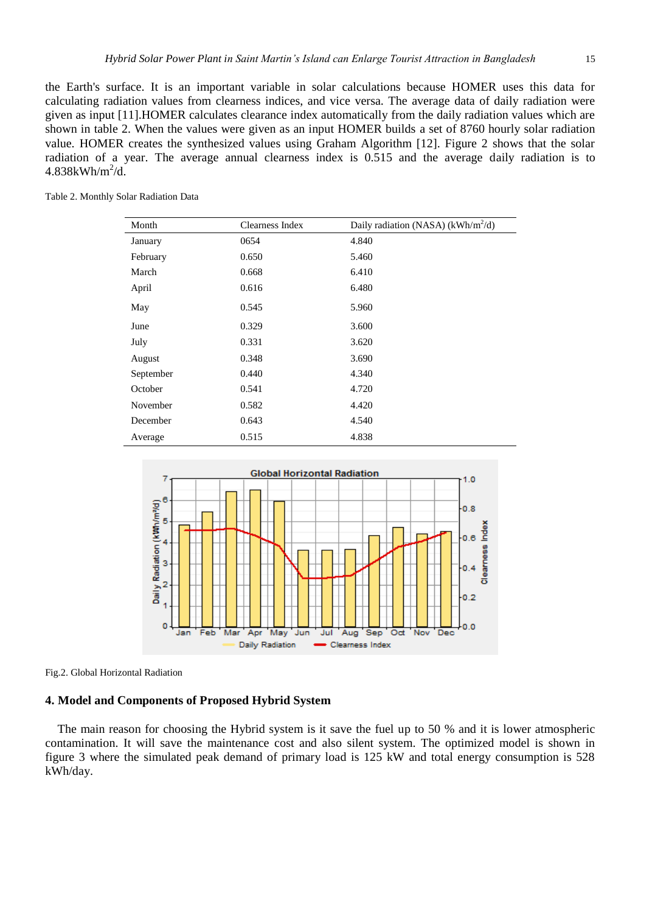the Earth's surface. It is an important variable in solar calculations because HOMER uses this data for calculating radiation values from clearness indices, and vice versa. The average data of daily radiation were given as input [11].HOMER calculates clearance index automatically from the daily radiation values which are shown in table 2. When the values were given as an input HOMER builds a set of 8760 hourly solar radiation value. HOMER creates the synthesized values using Graham Algorithm [12]. Figure 2 shows that the solar radiation of a year. The average annual clearness index is 0.515 and the average daily radiation is to  $4.838$ kWh/m<sup>2</sup>/d.

| Month     | Clearness Index | Daily radiation (NASA) (kWh/m <sup>2</sup> /d) |
|-----------|-----------------|------------------------------------------------|
| January   | 0654            | 4.840                                          |
| February  | 0.650           | 5.460                                          |
| March     | 0.668           | 6.410                                          |
| April     | 0.616           | 6.480                                          |
| May       | 0.545           | 5.960                                          |
| June      | 0.329           | 3.600                                          |
| July      | 0.331           | 3.620                                          |
| August    | 0.348           | 3.690                                          |
| September | 0.440           | 4.340                                          |
| October   | 0.541           | 4.720                                          |
| November  | 0.582           | 4.420                                          |
| December  | 0.643           | 4.540                                          |
| Average   | 0.515           | 4.838                                          |

Table 2. Monthly Solar Radiation Data



Fig.2. Global Horizontal Radiation

# **4. Model and Components of Proposed Hybrid System**

The main reason for choosing the Hybrid system is it save the fuel up to 50 % and it is lower atmospheric contamination. It will save the maintenance cost and also silent system. The optimized model is shown in figure 3 where the simulated peak demand of primary load is 125 kW and total energy consumption is 528 kWh/day.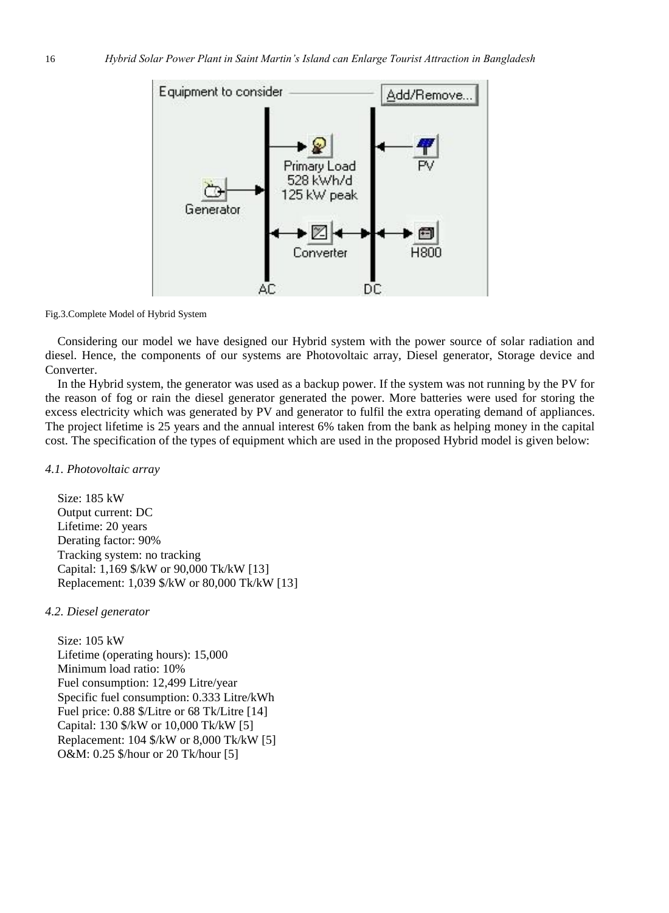

Fig.3.Complete Model of Hybrid System

Considering our model we have designed our Hybrid system with the power source of solar radiation and diesel. Hence, the components of our systems are Photovoltaic array, Diesel generator, Storage device and Converter.

In the Hybrid system, the generator was used as a backup power. If the system was not running by the PV for the reason of fog or rain the diesel generator generated the power. More batteries were used for storing the excess electricity which was generated by PV and generator to fulfil the extra operating demand of appliances. The project lifetime is 25 years and the annual interest 6% taken from the bank as helping money in the capital cost. The specification of the types of equipment which are used in the proposed Hybrid model is given below:

## *4.1. Photovoltaic array*

Size: 185 kW Output current: DC Lifetime: 20 years Derating factor: 90% Tracking system: no tracking Capital: 1,169 \$/kW or 90,000 Tk/kW [13] Replacement: 1,039 \$/kW or 80,000 Tk/kW [13]

# *4.2. Diesel generator*

Size: 105 kW Lifetime (operating hours): 15,000 Minimum load ratio: 10% Fuel consumption: 12,499 Litre/year Specific fuel consumption: 0.333 Litre/kWh Fuel price: 0.88 \$/Litre or 68 Tk/Litre [14] Capital: 130 \$/kW or 10,000 Tk/kW [5] Replacement: 104 \$/kW or 8,000 Tk/kW [5] O&M: 0.25 \$/hour or 20 Tk/hour [5]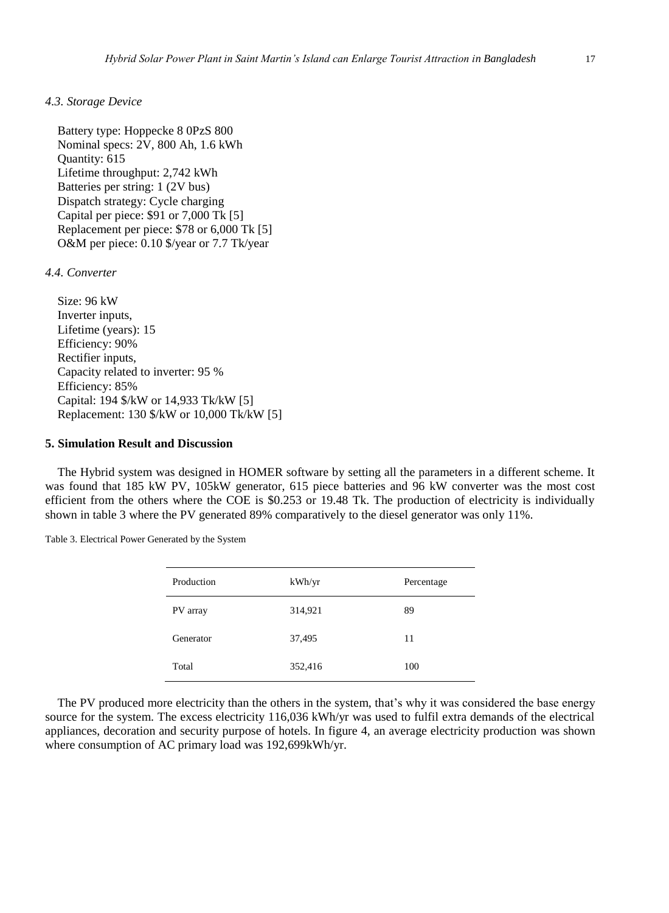#### *4.3. Storage Device*

Battery type: Hoppecke 8 0PzS 800 Nominal specs: 2V, 800 Ah, 1.6 kWh Quantity: 615 Lifetime throughput: 2,742 kWh Batteries per string: 1 (2V bus) Dispatch strategy: Cycle charging Capital per piece: \$91 or 7,000 Tk [5] Replacement per piece: \$78 or 6,000 Tk [5] O&M per piece: 0.10 \$/year or 7.7 Tk/year

## *4.4. Converter*

Size: 96 kW Inverter inputs, Lifetime (years): 15 Efficiency: 90% Rectifier inputs, Capacity related to inverter: 95 % Efficiency: 85% Capital: 194 \$/kW or 14,933 Tk/kW [5] Replacement: 130 \$/kW or 10,000 Tk/kW [5]

#### **5. Simulation Result and Discussion**

The Hybrid system was designed in HOMER software by setting all the parameters in a different scheme. It was found that 185 kW PV, 105kW generator, 615 piece batteries and 96 kW converter was the most cost efficient from the others where the COE is \$0.253 or 19.48 Tk. The production of electricity is individually shown in table 3 where the PV generated 89% comparatively to the diesel generator was only 11%.

| Production | kWh/yr  | Percentage |
|------------|---------|------------|
| PV array   | 314,921 | 89         |
| Generator  | 37,495  | 11         |
| Total      | 352,416 | 100        |

Table 3. Electrical Power Generated by the System

The PV produced more electricity than the others in the system, that's why it was considered the base energy source for the system. The excess electricity 116,036 kWh/yr was used to fulfil extra demands of the electrical appliances, decoration and security purpose of hotels. In figure 4, an average electricity production was shown where consumption of AC primary load was 192,699kWh/yr.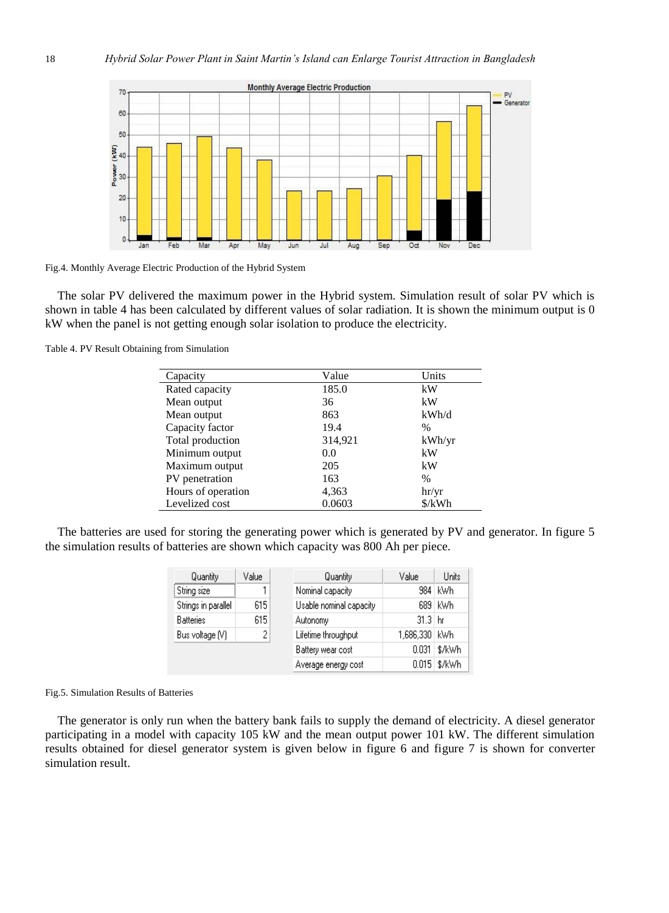

Fig.4. Monthly Average Electric Production of the Hybrid System

The solar PV delivered the maximum power in the Hybrid system. Simulation result of solar PV which is shown in table 4 has been calculated by different values of solar radiation. It is shown the minimum output is 0 kW when the panel is not getting enough solar isolation to produce the electricity.

Table 4. PV Result Obtaining from Simulation

| Capacity           | Value   | Units         |
|--------------------|---------|---------------|
| Rated capacity     | 185.0   | kW            |
| Mean output        | 36      | kW            |
| Mean output        | 863     | kWh/d         |
| Capacity factor    | 19.4    | $\frac{0}{0}$ |
| Total production   | 314,921 | kWh/yr        |
| Minimum output     | 0.0     | kW            |
| Maximum output     | 205     | kW            |
| PV penetration     | 163     | $\frac{0}{0}$ |
| Hours of operation | 4,363   | hr/yr         |
| Levelized cost     | 0.0603  | \$/kWh        |

The batteries are used for storing the generating power which is generated by PV and generator. In figure 5 the simulation results of batteries are shown which capacity was 800 Ah per piece.

| Quantity            | Value | Quantity                | Value         | Units        |
|---------------------|-------|-------------------------|---------------|--------------|
| i String sizel      |       | Nominal capacity        |               | 984 kWh      |
| Strings in parallel | 615   | Usable nominal capacity |               | 689 kWh      |
| <b>Batteries</b>    | 615   | Autonomy                | $31.3 \; h$ r |              |
| Bus voltage [V]     |       | Lifetime throughput     | 1,686,330 kWh |              |
|                     |       | Battery wear cost       | 0.031         | \$/kWh       |
|                     |       | Average energy cost     |               | 0.015 \$/kWh |

#### Fig.5. Simulation Results of Batteries

The generator is only run when the battery bank fails to supply the demand of electricity. A diesel generator participating in a model with capacity 105 kW and the mean output power 101 kW. The different simulation results obtained for diesel generator system is given below in figure 6 and figure 7 is shown for converter simulation result.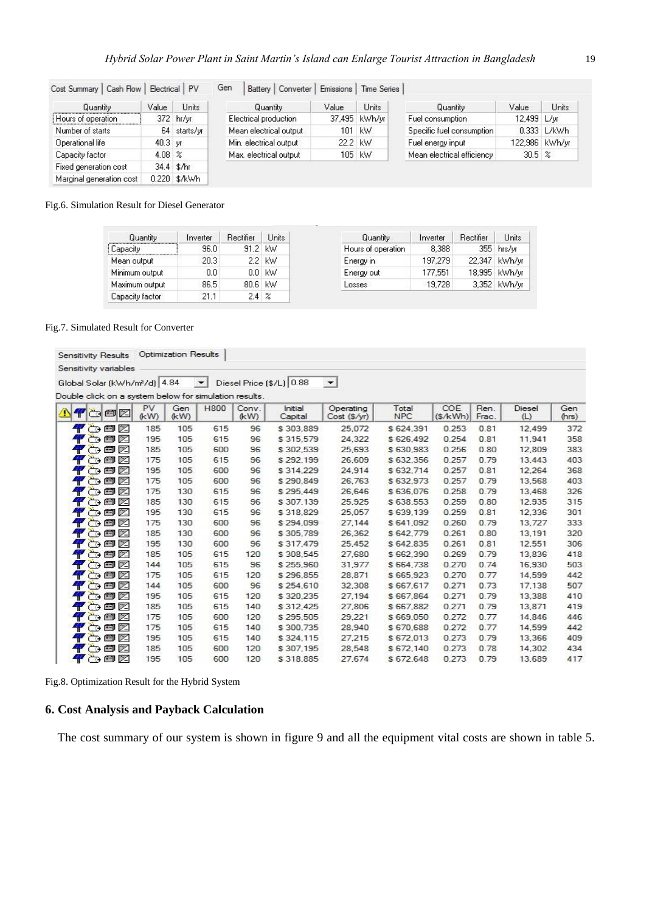| Cost Summary   Cash Flow |                   | Electrical PV | Gen |                        | Battery   Converter | Emissions | Time Series   |                            |             |                |
|--------------------------|-------------------|---------------|-----|------------------------|---------------------|-----------|---------------|----------------------------|-------------|----------------|
| Quantity                 | Value             | <b>Units</b>  |     | Quantity               |                     | Value     | <b>Units</b>  | Quantity                   | Value       | Units          |
| Hours of operation       |                   | 372 hr/yr     |     | Electrical production  |                     |           | 37,495 kWh/yr | Fuel consumption           | 12,499 L/yr |                |
| Number of starts         |                   | 64 starts/yr  |     | Mean electrical output |                     | 101       | kW.           | Specific fuel consumption  |             | 0.333 L/kWh    |
| Operational life         | $40.3 \text{ yr}$ |               |     | Min. electrical output |                     | 22.2 kW   |               | Fuel energy input          |             | 122,986 kWh/yr |
| Capacity factor          | 4.08 $\%$         |               |     | Max, electrical output |                     |           | 105 kW        | Mean electrical efficiency | 30.5%       |                |
| Fixed generation cost    |                   | 34.4 \$/hr    |     |                        |                     |           |               |                            |             |                |
| Marginal generation cost |                   | 0.220 \$/kWh  |     |                        |                     |           |               |                            |             |                |

### Fig.6. Simulation Result for Diesel Generator

| Quantity        | Inverter | Rectifier  | <b>Units</b> | Quantity           | Inverter | Rectifier | Units         |
|-----------------|----------|------------|--------------|--------------------|----------|-----------|---------------|
| Capacity        | 96.0     | 91.2 kW    |              | Hours of operation | 8,388    |           | 355 hrs/yr    |
| Mean output     | 20.3     |            | 2.2 KW       | Energy in          | 197.279  |           | 22,347 kWh/yr |
| Minimum output  | 0.0      |            | $0.0$ kW     | Energy out         | 177,551  |           | 18.995 kWh/vr |
| Maximum output  | 86.5     | 80.6 KW    |              | Losses             | 19,728   |           | 3,352 kWh/yr  |
| Capacity factor | 21.1     | $2.4 \; z$ |              |                    |          |           |               |

#### Fig.7. Simulated Result for Converter

| Sensitivity Results                                    |     |            | Optimization Results |              |               |                          |                         |                     |                |               |               |              |
|--------------------------------------------------------|-----|------------|----------------------|--------------|---------------|--------------------------|-------------------------|---------------------|----------------|---------------|---------------|--------------|
| Sensitivity variables                                  |     |            |                      |              |               |                          |                         |                     |                |               |               |              |
| Global Solar (kWh/m2/d) 4.84                           |     |            |                      | $\mathbf{r}$ |               | Diesel Price (\$/L) 0.88 | ∼∣                      |                     |                |               |               |              |
|                                                        |     |            |                      |              |               |                          |                         |                     |                |               |               |              |
| Double click on a system below for simulation results. |     |            |                      |              |               |                          |                         |                     |                |               |               |              |
| ⚠<br>Ŧ                                                 | aoz | PV<br>(kW) | Gen<br>(kW)          | <b>H800</b>  | Conv.<br>(kW) | Initial<br>Capital       | Operating<br>Cost(S/yr) | Total<br><b>NPC</b> | COE<br>(S/kWh) | Ren.<br>Frac. | Diesel<br>(L) | Gen<br>(hrs) |
| 平心自习                                                   |     | 185        | 105                  | 615          | 96            | \$303,889                | 25,072                  | \$624,391           | 0.253          | 0.81          | 12,499        | 372          |
| 平心回忆                                                   |     | 195        | 105                  | 615          | 96            | \$315.579                | 24.322                  | \$626.492           | 0.254          | 0.81          | 11.941        | 358          |
| 平心印区                                                   |     | 185        | 105                  | 600          | 96            | \$302,539                | 25,693                  | \$630,983           | 0.256          | 0.80          | 12,809        | 383          |
| 平心回忆                                                   |     | 175        | 105                  | 615          | 96            | \$292,199                | 26,609                  | \$632,356           | 0.257          | 0.79          | 13,443        | 403          |
| 平心画区                                                   |     | 195        | 105                  | 600          | 96            | \$314,229                | 24.914                  | \$632,714           | 0.257          | 0.81          | 12.264        | 368          |
| 平台图图                                                   |     | 175        | 105                  | 600          | 96            | \$290,849                | 26,763                  | \$632,973           | 0.257          | 0.79          | 13,568        | 403          |
| 平心画区                                                   |     | 175        | 130                  | 615          | 96            | \$295.449                | 26.646                  | \$636.076           | 0.258          | 0.79          | 13,468        | 326          |
| 平心国区                                                   |     | 185        | 130                  | 615          | 96            | \$307.139                | 25.925                  | \$638.553           | 0.259          | 0.80          | 12.935        | 315          |
| 平心回忆                                                   |     | 195        | 130                  | 615          | 96            | \$318,829                | 25,057                  | \$639,139           | 0.259          | 0.81          | 12,336        | 301          |
| 平心回忆                                                   |     | 175        | 130                  | 600          | 96            | \$294.099                | 27,144                  | \$641.092           | 0.260          | 0.79          | 13,727        | 333          |
| 平心细区                                                   |     | 185        | 130                  | 600          | 96            | \$305.789                | 26.362                  | \$642.779           | 0.261          | 0.80          | 13,191        | 320          |
| 平心回忆                                                   |     | 195        | 130                  | 600          | 96            | \$317,479                | 25,452                  | \$642,835           | 0.261          | 0.81          | 12,551        | 306          |
| 平心画区                                                   |     | 185        | 105                  | 615          | 120           | \$308.545                | 27,680                  | \$662,390           | 0.269          | 0.79          | 13,836        | 418          |
| 平心白区                                                   |     | 144        | 105                  | 615          | 96            | \$255,960                | 31.977                  | \$664,738           | 0.270          | 0.74          | 16,930        | 503          |
| 平心细区                                                   |     | 175        | 105                  | 615          | 120           | \$296,855                | 28,871                  | \$665,923           | 0.270          | 0.77          | 14,599        | 442          |
| 平心鱼区                                                   |     | 144        | 105                  | 600          | 96            | \$254.610                | 32.308                  | \$667.617           | 0.271          | 0.73          | 17,138        | 507          |
| 平心白区                                                   |     | 195        | 105                  | 615          | 120           | \$320.235                | 27.194                  | \$667.864           | 0.271          | 0.79          | 13,388        | 410          |
| 平心鱼区                                                   |     | 185        | 105                  | 615          | 140           | \$312,425                | 27,806                  | \$667.882           | 0.271          | 0.79          | 13,871        | 419          |
| 平心回风                                                   |     | 175        | 105                  | 600          | 120           | \$295.505                | 29.221                  | \$669.050           | 0.272          | 0.77          | 14,846        | 446          |
| 平心回忆                                                   |     | 175        | 105                  | 615          | 140           | \$300.735                | 28,940                  | \$670,688           | 0.272          | 0.77          | 14,599        | 442          |
| $\bullet$                                              | 的鱼区 | 195        | 105                  | 615          | 140           | \$324,115                | 27,215                  | \$672,013           | 0.273          | 0.79          | 13,366        | 409          |
| 平心白区                                                   |     | 185        | 105                  | 600          | 120           | \$307.195                | 28.548                  | \$672.140           | 0.273          | 0.78          | 14,302        | 434          |
| $P$ of $\boxtimes$                                     |     | 195        | 105                  | 600          | 120           | \$318,885                | 27,674                  | \$672,648           | 0.273          | 0.79          | 13,689        | 417          |

Fig.8. Optimization Result for the Hybrid System

# **6. Cost Analysis and Payback Calculation**

The cost summary of our system is shown in figure 9 and all the equipment vital costs are shown in table 5.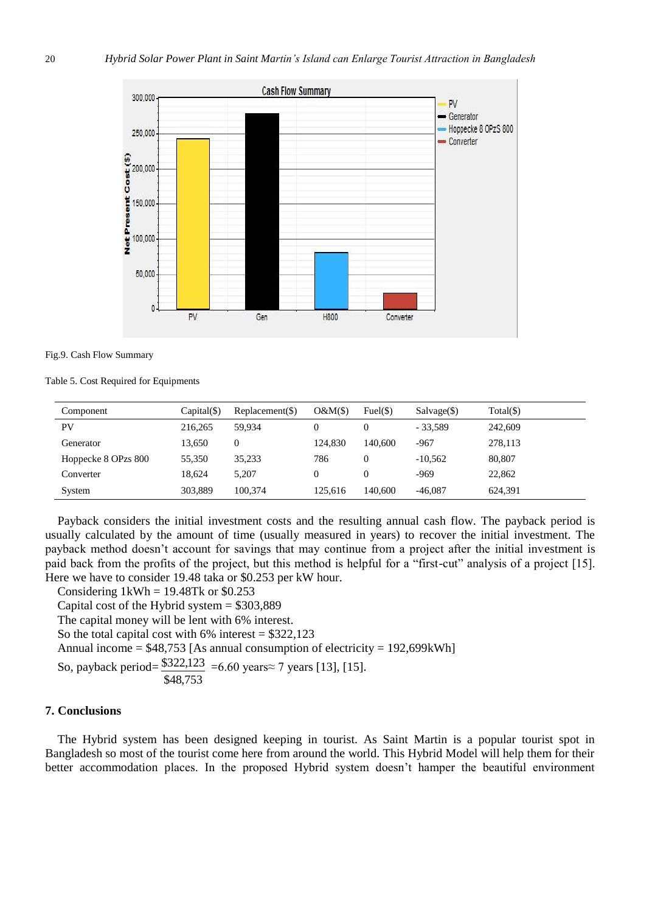



Table 5. Cost Required for Equipments

| Component           | $Capital(\$)$ | $Replacement(\$)$ | O&M(S)  | Fuel(S) | $Salvage(\text{S})$ | $Total(\$))$ |
|---------------------|---------------|-------------------|---------|---------|---------------------|--------------|
| PV                  | 216.265       | 59,934            |         |         | $-33.589$           | 242,609      |
| Generator           | 13,650        | 0                 | 124.830 | 140,600 | $-967$              | 278,113      |
| Hoppecke 8 OPzs 800 | 55,350        | 35,233            | 786     |         | $-10,562$           | 80,807       |
| Converter           | 18.624        | 5.207             |         |         | $-969$              | 22,862       |
| System              | 303.889       | 100,374           | 125.616 | 140,600 | $-46,087$           | 624.391      |

Payback considers the initial investment costs and the resulting annual cash flow. The payback period is usually calculated by the amount of time (usually measured in years) to recover the initial investment. The payback method doesn't account for savings that may continue from a project after the initial investment is paid back from the profits of the project, but this method is helpful for a "first-cut" analysis of a project [15]. Here we have to consider 19.48 taka or \$0.253 per kW hour.

Considering  $1kWh = 19.48Tk$  or \$0.253

Capital cost of the Hybrid system  $= $303,889$ 

The capital money will be lent with 6% interest.

So the total capital cost with  $6\%$  interest = \$322,123

Annual income = \$48,753 [As annual consumption of electricity = 192,699kWh]

So, payback period= \$48,753  $$322,123 = 6.60 \text{ years} \approx 7 \text{ years}$  [13], [15].

## **7. Conclusions**

The Hybrid system has been designed keeping in tourist. As Saint Martin is a popular tourist spot in Bangladesh so most of the tourist come here from around the world. This Hybrid Model will help them for their better accommodation places. In the proposed Hybrid system doesn't hamper the beautiful environment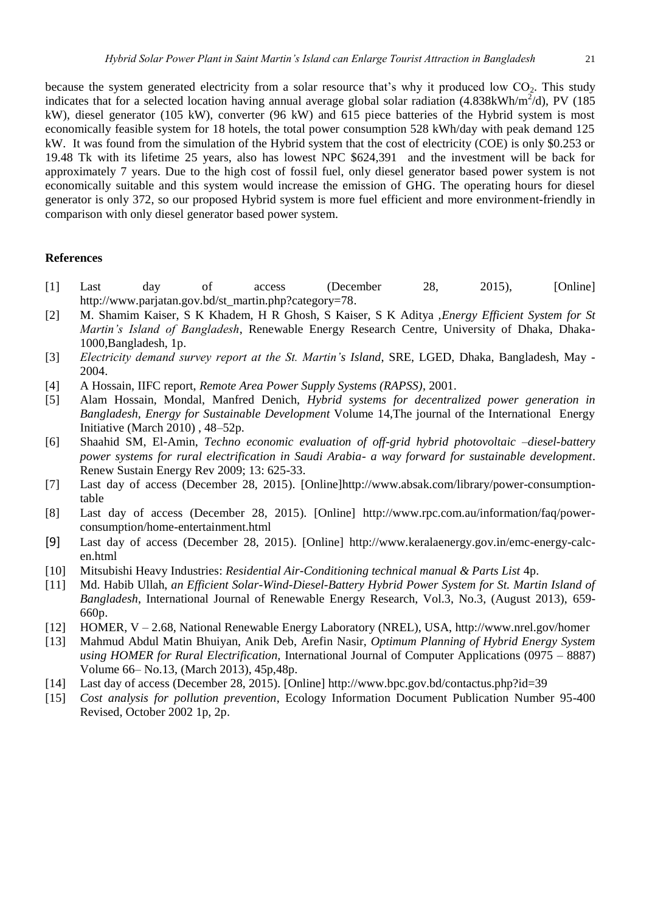because the system generated electricity from a solar resource that's why it produced low  $CO<sub>2</sub>$ . This study indicates that for a selected location having annual average global solar radiation (4.838kWh/m<sup>2</sup>/d), PV (185 kW), diesel generator (105 kW), converter (96 kW) and 615 piece batteries of the Hybrid system is most economically feasible system for 18 hotels, the total power consumption 528 kWh/day with peak demand 125 kW. It was found from the simulation of the Hybrid system that the cost of electricity (COE) is only \$0.253 or 19.48 Tk with its lifetime 25 years, also has lowest NPC \$624,391 and the investment will be back for approximately 7 years. Due to the high cost of fossil fuel, only diesel generator based power system is not economically suitable and this system would increase the emission of GHG. The operating hours for diesel generator is only 372, so our proposed Hybrid system is more fuel efficient and more environment-friendly in comparison with only diesel generator based power system.

#### **References**

- [1] Last day of access (December 28, 2015), [Online] [http://www.parjatan.gov.bd/st\\_martin.php?category=78.](http://www.parjatan.gov.bd/st_martin.php?category=78)
- [2] M. Shamim Kaiser, S K Khadem, H R Ghosh, S Kaiser, S K Aditya ,*Energy Efficient System for St Martin's Island of Bangladesh*, Renewable Energy Research Centre, University of Dhaka, Dhaka-1000,Bangladesh, 1p.
- [3] *Electricity demand survey report at the St. Martin's Island*, SRE, LGED, Dhaka, Bangladesh, May 2004.
- [4] A Hossain, IIFC report, *Remote Area Power Supply Systems (RAPSS)*, 2001.
- [5] Alam Hossain, Mondal, Manfred Denich, *Hybrid systems for decentralized power generation in Bangladesh, Energy for Sustainable Development* Volume 14,The journal of the International Energy Initiative (March 2010) , 48–52p.
- [6] Shaahid SM, El-Amin, *Techno economic evaluation of off-grid hybrid photovoltaic –diesel-battery power systems for rural electrification in Saudi Arabia- a way forward for sustainable development*. Renew Sustain Energy Rev 2009; 13: 625-33.
- [7] Last day of access (December 28, 2015). [Online[\]http://www.absak.com/library/power-consumption](http://www.absak.com/library/power-consumption-table)[table](http://www.absak.com/library/power-consumption-table)
- [8] Last day of access (December 28, 2015). [Online] [http://www.rpc.com.au/information/faq/power](http://www.rpc.com.au/information/faq/power-consumption/home-entertainment.html)[consumption/home-entertainment.html](http://www.rpc.com.au/information/faq/power-consumption/home-entertainment.html)
- [9] Last day of access (December 28, 2015). [Online] [http://www.keralaenergy.gov.in/emc-energy-calc](http://www.keralaenergy.gov.in/emc-energy-calc-en.html)[en.html](http://www.keralaenergy.gov.in/emc-energy-calc-en.html)
- [10] Mitsubishi Heavy Industries: *Residential Air-Conditioning technical manual & Parts List* 4p.
- [11] Md. Habib Ullah, *an Efficient Solar-Wind-Diesel-Battery Hybrid Power System for St. Martin Island of Bangladesh*, International Journal of Renewable Energy Research, Vol.3, No.3, (August 2013), 659- 660p.
- [12] HOMER, V 2.68, National Renewable Energy Laboratory (NREL), USA, http://www.nrel.gov/homer
- [13] Mahmud Abdul Matin Bhuiyan, Anik Deb, Arefin Nasir, *Optimum Planning of Hybrid Energy System using HOMER for Rural Electrification,* International Journal of Computer Applications (0975 – 8887) Volume 66– No.13, (March 2013), 45p,48p.
- [14] Last day of access (December 28, 2015). [Online]<http://www.bpc.gov.bd/contactus.php?id=39>
- [15] *Cost analysis for pollution prevention*, Ecology Information Document Publication Number 95-400 Revised, October 2002 1p, 2p.